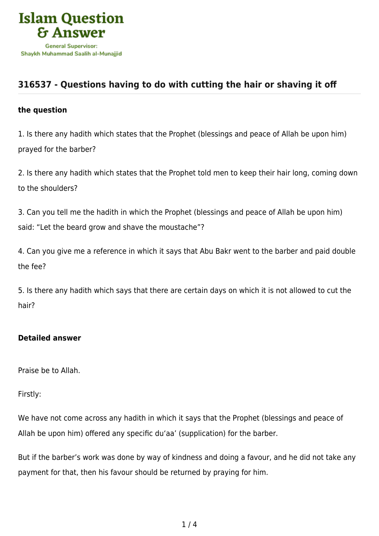

## **[316537 - Questions having to do with cutting the hair or shaving it off](https://islamqa.com/en/answers/316537/questions-having-to-do-with-cutting-the-hair-or-shaving-it-off)**

## **the question**

1. Is there any hadith which states that the Prophet (blessings and peace of Allah be upon him) prayed for the barber?

2. Is there any hadith which states that the Prophet told men to keep their hair long, coming down to the shoulders?

3. Can you tell me the hadith in which the Prophet (blessings and peace of Allah be upon him) said: "Let the beard grow and shave the moustache"?

4. Can you give me a reference in which it says that Abu Bakr went to the barber and paid double the fee?

5. Is there any hadith which says that there are certain days on which it is not allowed to cut the hair?

## **Detailed answer**

Praise be to Allah.

Firstly:

We have not come across any hadith in which it says that the Prophet (blessings and peace of Allah be upon him) offered any specific du'aa' (supplication) for the barber.

But if the barber's work was done by way of kindness and doing a favour, and he did not take any payment for that, then his favour should be returned by praying for him.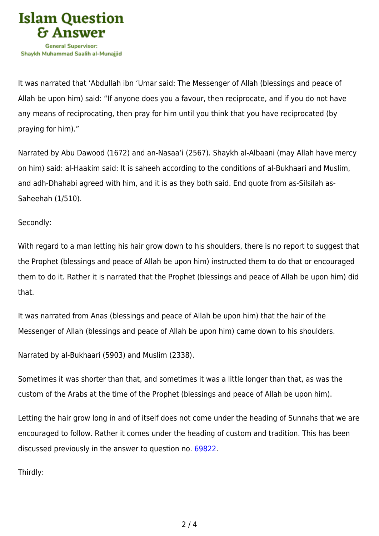

It was narrated that 'Abdullah ibn 'Umar said: The Messenger of Allah (blessings and peace of Allah be upon him) said: "If anyone does you a favour, then reciprocate, and if you do not have any means of reciprocating, then pray for him until you think that you have reciprocated (by praying for him)."

Narrated by Abu Dawood (1672) and an-Nasaa'i (2567). Shaykh al-Albaani (may Allah have mercy on him) said: al-Haakim said: It is saheeh according to the conditions of al-Bukhaari and Muslim, and adh-Dhahabi agreed with him, and it is as they both said. End quote from as-Silsilah as-Saheehah (1/510).

Secondly:

With regard to a man letting his hair grow down to his shoulders, there is no report to suggest that the Prophet (blessings and peace of Allah be upon him) instructed them to do that or encouraged them to do it. Rather it is narrated that the Prophet (blessings and peace of Allah be upon him) did that.

It was narrated from Anas (blessings and peace of Allah be upon him) that the hair of the Messenger of Allah (blessings and peace of Allah be upon him) came down to his shoulders.

```
Narrated by al-Bukhaari (5903) and Muslim (2338).
```
Sometimes it was shorter than that, and sometimes it was a little longer than that, as was the custom of the Arabs at the time of the Prophet (blessings and peace of Allah be upon him).

Letting the hair grow long in and of itself does not come under the heading of Sunnahs that we are encouraged to follow. Rather it comes under the heading of custom and tradition. This has been discussed previously in the answer to question no. [69822.](https://islamqa.com/en/answers/69822)

Thirdly: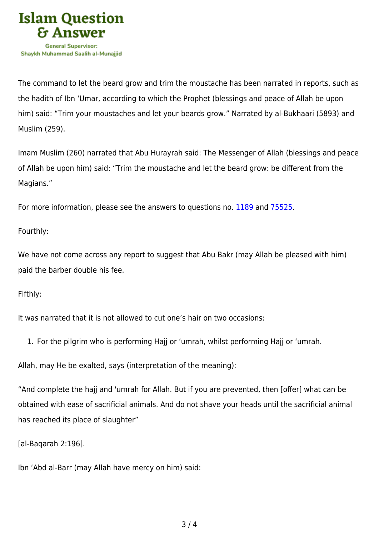

The command to let the beard grow and trim the moustache has been narrated in reports, such as the hadith of Ibn 'Umar, according to which the Prophet (blessings and peace of Allah be upon him) said: "Trim your moustaches and let your beards grow." Narrated by al-Bukhaari (5893) and Muslim (259).

Imam Muslim (260) narrated that Abu Hurayrah said: The Messenger of Allah (blessings and peace of Allah be upon him) said: "Trim the moustache and let the beard grow: be different from the Magians."

For more information, please see the answers to questions no. [1189 a](https://islamqa.com/en/answers/1189)nd [75525.](https://islamqa.com/en/answers/75525)

Fourthly:

We have not come across any report to suggest that Abu Bakr (may Allah be pleased with him) paid the barber double his fee.

Fifthly:

It was narrated that it is not allowed to cut one's hair on two occasions:

1. For the pilgrim who is performing Hajj or 'umrah, whilst performing Hajj or 'umrah.

Allah, may He be exalted, says (interpretation of the meaning):

"And complete the hajj and 'umrah for Allah. But if you are prevented, then [offer] what can be obtained with ease of sacrificial animals. And do not shave your heads until the sacrificial animal has reached its place of slaughter"

[al-Baqarah 2:196].

Ibn 'Abd al-Barr (may Allah have mercy on him) said: